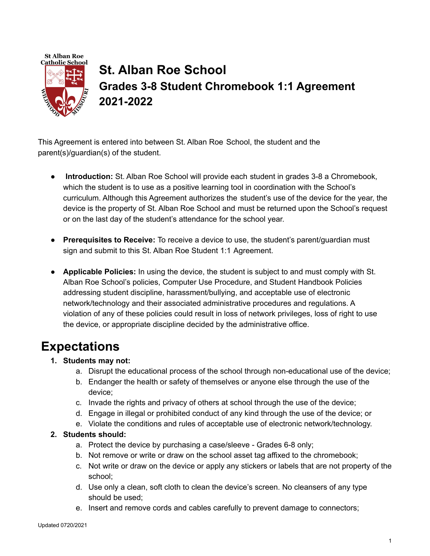

# **St. Alban Roe School Grades 3-8 Student Chromebook 1:1 Agreement 2021-2022**

This Agreement is entered into between St. Alban Roe School, the student and the parent(s)/guardian(s) of the student.

- **Introduction:** St. Alban Roe School will provide each student in grades 3-8 a Chromebook, which the student is to use as a positive learning tool in coordination with the School's curriculum. Although this Agreement authorizes the student's use of the device for the year, the device is the property of St. Alban Roe School and must be returned upon the School's request or on the last day of the student's attendance for the school year.
- **Prerequisites to Receive:** To receive a device to use, the student's parent/guardian must sign and submit to this St. Alban Roe Student 1:1 Agreement.
- **Applicable Policies:** In using the device, the student is subject to and must comply with St. Alban Roe School's policies, Computer Use Procedure, and Student Handbook Policies addressing student discipline, harassment/bullying, and acceptable use of electronic network/technology and their associated administrative procedures and regulations. A violation of any of these policies could result in loss of network privileges, loss of right to use the device, or appropriate discipline decided by the administrative office.

### **Expectations**

- **1. Students may not:**
	- a. Disrupt the educational process of the school through non-educational use of the device;
	- b. Endanger the health or safety of themselves or anyone else through the use of the device;
	- c. Invade the rights and privacy of others at school through the use of the device;
	- d. Engage in illegal or prohibited conduct of any kind through the use of the device; or
	- e. Violate the conditions and rules of acceptable use of electronic network/technology.

#### **2. Students should:**

- a. Protect the device by purchasing a case/sleeve Grades 6-8 only;
- b. Not remove or write or draw on the school asset tag affixed to the chromebook;
- c. Not write or draw on the device or apply any stickers or labels that are not property of the school;
- d. Use only a clean, soft cloth to clean the device's screen. No cleansers of any type should be used;
- e. Insert and remove cords and cables carefully to prevent damage to connectors;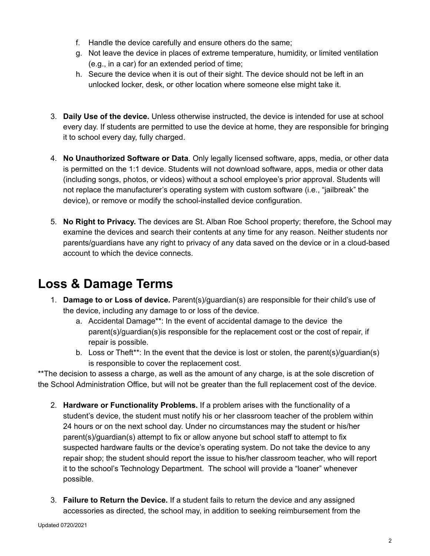- f. Handle the device carefully and ensure others do the same;
- g. Not leave the device in places of extreme temperature, humidity, or limited ventilation (e.g., in a car) for an extended period of time;
- h. Secure the device when it is out of their sight. The device should not be left in an unlocked locker, desk, or other location where someone else might take it.
- 3. **Daily Use of the device.** Unless otherwise instructed, the device is intended for use at school every day. If students are permitted to use the device at home, they are responsible for bringing it to school every day, fully charged.
- 4. **No Unauthorized Software or Data**. Only legally licensed software, apps, media, or other data is permitted on the 1:1 device. Students will not download software, apps, media or other data (including songs, photos, or videos) without a school employee's prior approval. Students will not replace the manufacturer's operating system with custom software (i.e., "jailbreak" the device), or remove or modify the school-installed device configuration.
- 5. **No Right to Privacy.** The devices are St. Alban Roe School property; therefore, the School may examine the devices and search their contents at any time for any reason. Neither students nor parents/guardians have any right to privacy of any data saved on the device or in a cloud-based account to which the device connects.

### **Loss & Damage Terms**

- 1. **Damage to or Loss of device.** Parent(s)/guardian(s) are responsible for their child's use of the device, including any damage to or loss of the device.
	- a. Accidental Damage\*\*: In the event of accidental damage to the device the parent(s)/guardian(s)is responsible for the replacement cost or the cost of repair, if repair is possible.
	- b. Loss or Theft\*\*: In the event that the device is lost or stolen, the parent(s)/guardian(s) is responsible to cover the replacement cost.

\*\*The decision to assess a charge, as well as the amount of any charge, is at the sole discretion of the School Administration Office, but will not be greater than the full replacement cost of the device.

- 2. **Hardware or Functionality Problems.** If a problem arises with the functionality of a student's device, the student must notify his or her classroom teacher of the problem within 24 hours or on the next school day. Under no circumstances may the student or his/her parent(s)/guardian(s) attempt to fix or allow anyone but school staff to attempt to fix suspected hardware faults or the device's operating system. Do not take the device to any repair shop; the student should report the issue to his/her classroom teacher, who will report it to the school's Technology Department. The school will provide a "loaner" whenever possible.
- 3. **Failure to Return the Device.** If a student fails to return the device and any assigned accessories as directed, the school may, in addition to seeking reimbursement from the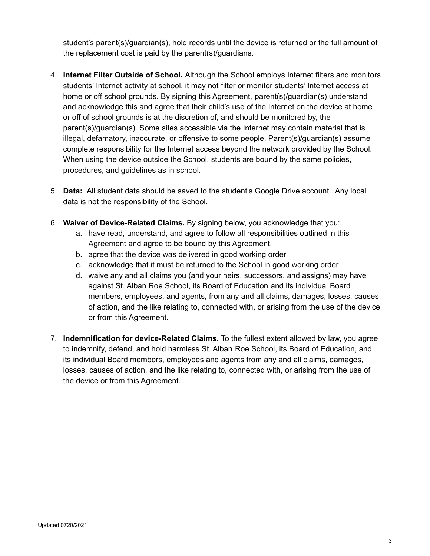student's parent(s)/guardian(s), hold records until the device is returned or the full amount of the replacement cost is paid by the parent(s)/guardians.

- 4. **Internet Filter Outside of School.** Although the School employs Internet filters and monitors students' Internet activity at school, it may not filter or monitor students' Internet access at home or off school grounds. By signing this Agreement, parent(s)/guardian(s) understand and acknowledge this and agree that their child's use of the Internet on the device at home or off of school grounds is at the discretion of, and should be monitored by, the parent(s)/guardian(s). Some sites accessible via the Internet may contain material that is illegal, defamatory, inaccurate, or offensive to some people. Parent(s)/guardian(s) assume complete responsibility for the Internet access beyond the network provided by the School. When using the device outside the School, students are bound by the same policies, procedures, and guidelines as in school.
- 5. **Data:** All student data should be saved to the student's Google Drive account. Any local data is not the responsibility of the School.
- 6. **Waiver of Device-Related Claims.** By signing below, you acknowledge that you:
	- a. have read, understand, and agree to follow all responsibilities outlined in this Agreement and agree to be bound by this Agreement.
	- b. agree that the device was delivered in good working order
	- c. acknowledge that it must be returned to the School in good working order
	- d. waive any and all claims you (and your heirs, successors, and assigns) may have against St. Alban Roe School, its Board of Education and its individual Board members, employees, and agents, from any and all claims, damages, losses, causes of action, and the like relating to, connected with, or arising from the use of the device or from this Agreement.
- 7. **Indemnification for device-Related Claims.** To the fullest extent allowed by law, you agree to indemnify, defend, and hold harmless St. Alban Roe School, its Board of Education, and its individual Board members, employees and agents from any and all claims, damages, losses, causes of action, and the like relating to, connected with, or arising from the use of the device or from this Agreement.